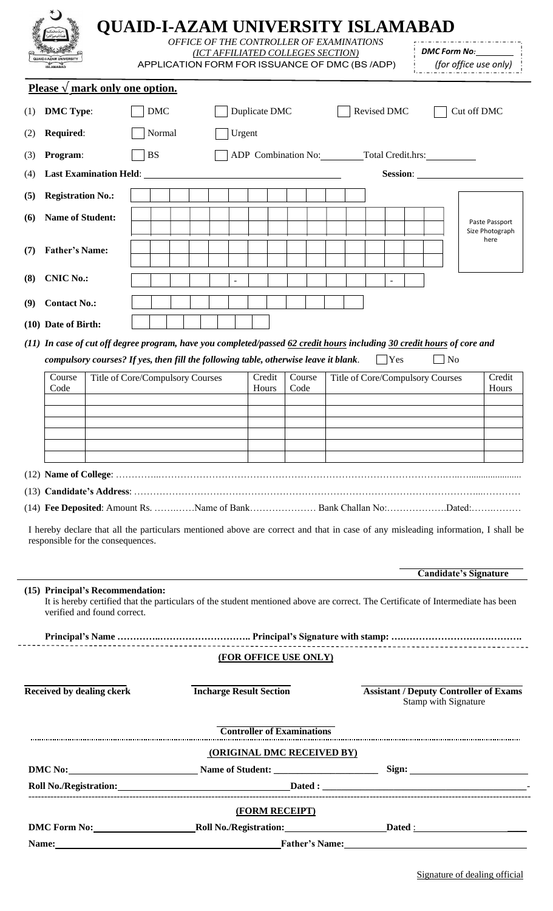| <b>QUAID-I-AZAM UNIVERSITY</b><br><b>ISLAMABAD</b>                                                                                                                                                                                                                    |                                                                       | (ICT AFFILIATED COLLEGES SECTION) |                                       |                                   | <b>QUAID-I-AZAM UNIVERSITY ISLAMABAD</b><br>OFFICE OF THE CONTROLLER OF EXAMINATIONS<br>APPLICATION FORM FOR ISSUANCE OF DMC (BS/ADP) | DMC Form No:<br>(for office use only)         |                         |  |
|-----------------------------------------------------------------------------------------------------------------------------------------------------------------------------------------------------------------------------------------------------------------------|-----------------------------------------------------------------------|-----------------------------------|---------------------------------------|-----------------------------------|---------------------------------------------------------------------------------------------------------------------------------------|-----------------------------------------------|-------------------------|--|
| Please $\sqrt{\ }$ mark only one option.                                                                                                                                                                                                                              |                                                                       |                                   |                                       |                                   |                                                                                                                                       |                                               |                         |  |
| <b>DMC Type:</b><br>(1)                                                                                                                                                                                                                                               | <b>DMC</b>                                                            |                                   | Duplicate DMC                         |                                   | Revised DMC                                                                                                                           |                                               | Cut off DMC             |  |
| Required:<br>(2)                                                                                                                                                                                                                                                      | Normal<br>Urgent                                                      |                                   |                                       |                                   |                                                                                                                                       |                                               |                         |  |
| Program:<br>(3)                                                                                                                                                                                                                                                       | <b>BS</b>                                                             |                                   | ADP Combination No: Total Credit.hrs: |                                   |                                                                                                                                       |                                               |                         |  |
| <b>Last Examination Held:</b><br>(4)                                                                                                                                                                                                                                  |                                                                       |                                   |                                       |                                   | Session:                                                                                                                              |                                               |                         |  |
| <b>Registration No.:</b><br>(5)                                                                                                                                                                                                                                       |                                                                       |                                   |                                       |                                   |                                                                                                                                       |                                               |                         |  |
| <b>Name of Student:</b><br>(6)                                                                                                                                                                                                                                        |                                                                       |                                   |                                       |                                   |                                                                                                                                       |                                               | Paste Passport          |  |
|                                                                                                                                                                                                                                                                       |                                                                       |                                   |                                       |                                   |                                                                                                                                       |                                               | Size Photograph<br>here |  |
| <b>Father's Name:</b><br>(7)                                                                                                                                                                                                                                          |                                                                       |                                   |                                       |                                   |                                                                                                                                       |                                               |                         |  |
| <b>CNIC No.:</b><br>(8)                                                                                                                                                                                                                                               |                                                                       |                                   |                                       |                                   |                                                                                                                                       |                                               |                         |  |
| <b>Contact No.:</b><br>(9)                                                                                                                                                                                                                                            |                                                                       |                                   |                                       |                                   |                                                                                                                                       |                                               |                         |  |
| (10) Date of Birth:                                                                                                                                                                                                                                                   |                                                                       |                                   |                                       |                                   |                                                                                                                                       |                                               |                         |  |
| (11) In case of cut off degree program, have you completed/passed 62 credit hours including 30 credit hours of core and<br>compulsory courses? If yes, then fill the following table, otherwise leave it blank.                                                       |                                                                       |                                   |                                       |                                   | <b>Yes</b>                                                                                                                            | $\Box$ No                                     |                         |  |
| Course<br>Code                                                                                                                                                                                                                                                        | Title of Core/Compulsory Courses<br>Credit<br>Course<br>Code<br>Hours |                                   | Title of Core/Compulsory Courses      |                                   | Credit<br>Hours                                                                                                                       |                                               |                         |  |
| (14) Fee Deposited: Amount Rs. Name of Bank Bank Challan No:Dated:<br>I hereby declare that all the particulars mentioned above are correct and that in case of any misleading information, I shall be                                                                |                                                                       |                                   |                                       |                                   |                                                                                                                                       |                                               |                         |  |
| responsible for the consequences.<br>(15) Principal's Recommendation:                                                                                                                                                                                                 |                                                                       |                                   |                                       |                                   |                                                                                                                                       | <b>Candidate's Signature</b>                  |                         |  |
| verified and found correct.                                                                                                                                                                                                                                           |                                                                       |                                   |                                       |                                   | It is hereby certified that the particulars of the student mentioned above are correct. The Certificate of Intermediate has been      |                                               |                         |  |
|                                                                                                                                                                                                                                                                       |                                                                       |                                   |                                       | (FOR OFFICE USE ONLY)             |                                                                                                                                       |                                               |                         |  |
|                                                                                                                                                                                                                                                                       |                                                                       |                                   | <b>Incharge Result Section</b>        |                                   |                                                                                                                                       | <b>Assistant / Deputy Controller of Exams</b> |                         |  |
| <b>Received by dealing ckerk</b>                                                                                                                                                                                                                                      |                                                                       |                                   |                                       |                                   |                                                                                                                                       | Stamp with Signature                          |                         |  |
|                                                                                                                                                                                                                                                                       |                                                                       |                                   |                                       | <b>Controller of Examinations</b> |                                                                                                                                       |                                               |                         |  |
|                                                                                                                                                                                                                                                                       |                                                                       |                                   |                                       | (ORIGINAL DMC RECEIVED BY)        |                                                                                                                                       |                                               |                         |  |
|                                                                                                                                                                                                                                                                       |                                                                       |                                   |                                       |                                   |                                                                                                                                       |                                               |                         |  |
|                                                                                                                                                                                                                                                                       |                                                                       |                                   |                                       |                                   |                                                                                                                                       |                                               |                         |  |
| DMC No: Name of Student: Name of Student: Name of Student: Name of Student: Name of Student: Name of Student: Name of Student: Name of Student: Name of Student: Name of Student: Name of Student: Name of Student: Name of St<br>DMC Form No: Roll No./Registration: |                                                                       |                                   | (FORM RECEIPT)                        |                                   |                                                                                                                                       |                                               |                         |  |

 $\overline{a}$